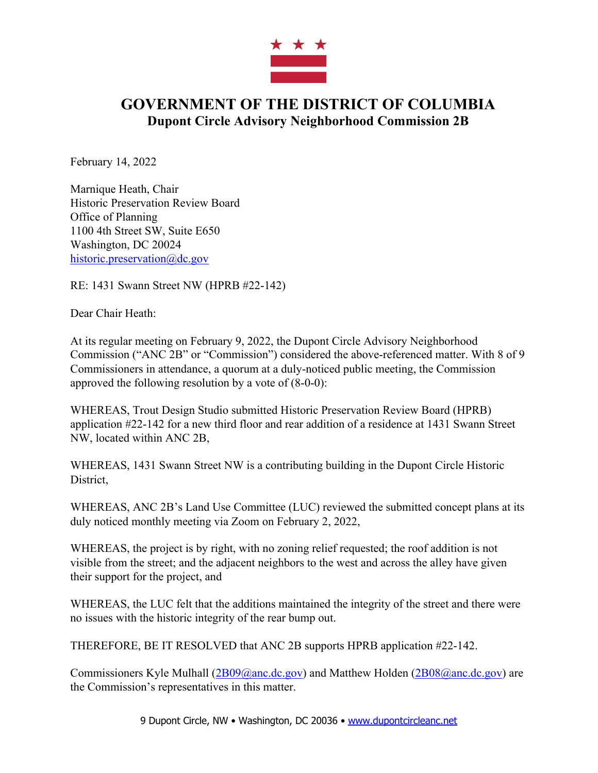

## **GOVERNMENT OF THE DISTRICT OF COLUMBIA Dupont Circle Advisory Neighborhood Commission 2B**

February 14, 2022

Marnique Heath, Chair Historic Preservation Review Board Office of Planning 1100 4th Street SW, Suite E650 Washington, DC 20024 historic.preservation@dc.gov

RE: 1431 Swann Street NW (HPRB #22-142)

Dear Chair Heath:

At its regular meeting on February 9, 2022, the Dupont Circle Advisory Neighborhood Commission ("ANC 2B" or "Commission") considered the above-referenced matter. With 8 of 9 Commissioners in attendance, a quorum at a duly-noticed public meeting, the Commission approved the following resolution by a vote of (8-0-0):

WHEREAS, Trout Design Studio submitted Historic Preservation Review Board (HPRB) application #22-142 for a new third floor and rear addition of a residence at 1431 Swann Street NW, located within ANC 2B,

WHEREAS, 1431 Swann Street NW is a contributing building in the Dupont Circle Historic District,

WHEREAS, ANC 2B's Land Use Committee (LUC) reviewed the submitted concept plans at its duly noticed monthly meeting via Zoom on February 2, 2022,

WHEREAS, the project is by right, with no zoning relief requested; the roof addition is not visible from the street; and the adjacent neighbors to the west and across the alley have given their support for the project, and

WHEREAS, the LUC felt that the additions maintained the integrity of the street and there were no issues with the historic integrity of the rear bump out.

THEREFORE, BE IT RESOLVED that ANC 2B supports HPRB application #22-142.

Commissioners Kyle Mulhall  $(2B09@anc.de.gov)$  and Matthew Holden  $(2B08@anc.de.gov)$  are the Commission's representatives in this matter.